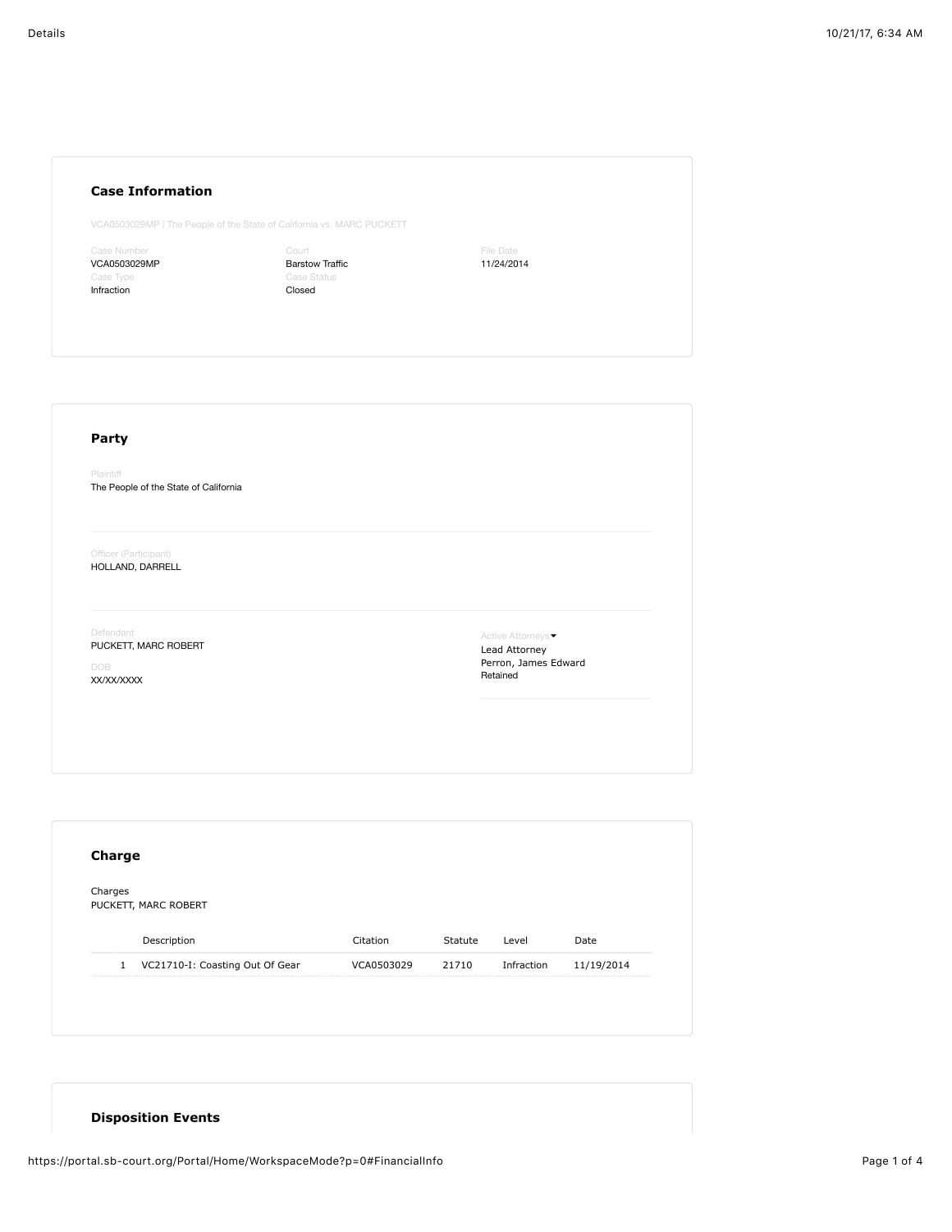## **Case Information**

VCA0503029MP | The People of the State of California vs. MARC PUCKETT

use Number VCA0503029MP Infraction

Court Barstow Traffic Closed

File Date 11/24/2014

## **Party**

Plaintiff The People of the State of California

Officer (Participant) HOLLAND, DARRELL

Defendant

PUCKETT, MARC ROBERT

DOB XX/XX/XXXX

Active Attorneys • Lead Attorney Perron, James Edward Retained

| Charges<br>PUCKETT, MARC ROBERT |             |            |         |            |            |  |  |  |  |
|---------------------------------|-------------|------------|---------|------------|------------|--|--|--|--|
|                                 |             |            |         |            |            |  |  |  |  |
|                                 | Description | Citation   | Statute | Level      | Date       |  |  |  |  |
|                                 |             | VCA0503029 | 21710   | Infraction | 11/19/2014 |  |  |  |  |

## **Disposition Events**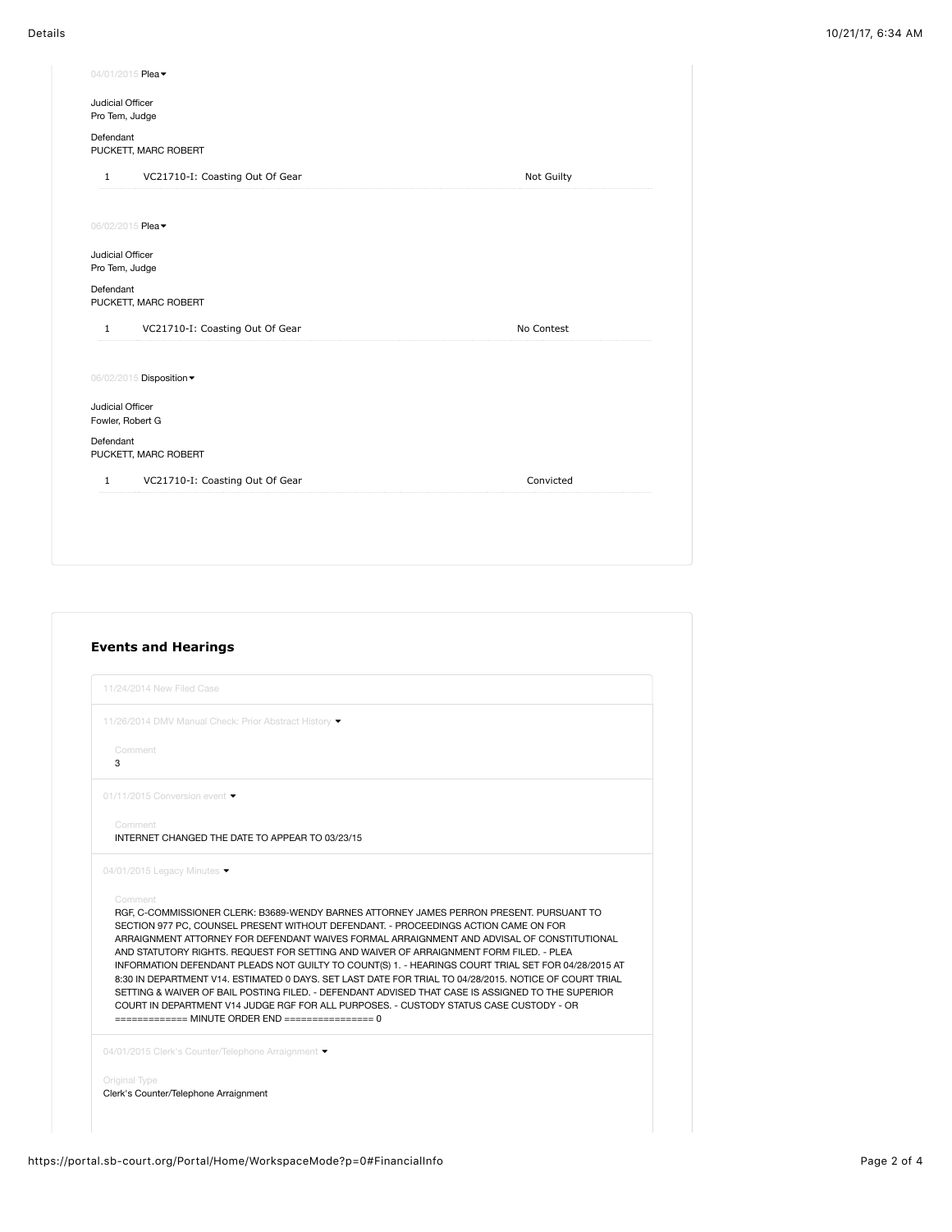| 04/01/2015 Plea -                               |            |
|-------------------------------------------------|------------|
| Judicial Officer<br>Pro Tem, Judge              |            |
| Defendant<br>PUCKETT, MARC ROBERT               |            |
| VC21710-I: Coasting Out Of Gear<br>$\mathbf{1}$ | Not Guilty |
| 06/02/2015 Plea -                               |            |
| Judicial Officer<br>Pro Tem, Judge              |            |
| Defendant<br>PUCKETT, MARC ROBERT               |            |
| VC21710-I: Coasting Out Of Gear<br>$\mathbf{1}$ | No Contest |
| 06/02/2015 Disposition                          |            |
|                                                 |            |
| Judicial Officer<br>Fowler, Robert G            |            |
| Defendant<br>PUCKETT, MARC ROBERT               |            |
| VC21710-I: Coasting Out Of Gear<br>$\mathbf{1}$ | Convicted  |
|                                                 |            |

|              | 11/24/2014 New Filed Case                                                                                                                                                                                                                                                                                                                                                                                                                                                                                                                                                                                                                                                                                                                         |
|--------------|---------------------------------------------------------------------------------------------------------------------------------------------------------------------------------------------------------------------------------------------------------------------------------------------------------------------------------------------------------------------------------------------------------------------------------------------------------------------------------------------------------------------------------------------------------------------------------------------------------------------------------------------------------------------------------------------------------------------------------------------------|
|              | 11/26/2014 DMV Manual Check: Prior Abstract History v                                                                                                                                                                                                                                                                                                                                                                                                                                                                                                                                                                                                                                                                                             |
| Comment<br>3 |                                                                                                                                                                                                                                                                                                                                                                                                                                                                                                                                                                                                                                                                                                                                                   |
|              | 01/11/2015 Conversion event ▼                                                                                                                                                                                                                                                                                                                                                                                                                                                                                                                                                                                                                                                                                                                     |
| Comment      | INTERNET CHANGED THE DATE TO APPEAR TO 03/23/15                                                                                                                                                                                                                                                                                                                                                                                                                                                                                                                                                                                                                                                                                                   |
| Comment      | 04/01/2015 Legacy Minutes $\blacktriangledown$<br>RGF, C-COMMISSIONER CLERK: B3689-WENDY BARNES ATTORNEY JAMES PERRON PRESENT, PURSUANT TO                                                                                                                                                                                                                                                                                                                                                                                                                                                                                                                                                                                                        |
|              | SECTION 977 PC, COUNSEL PRESENT WITHOUT DEFENDANT. - PROCEEDINGS ACTION CAME ON FOR<br>ARRAIGNMENT ATTORNEY FOR DEFENDANT WAIVES FORMAL ARRAIGNMENT AND ADVISAL OF CONSTITUTIONAL<br>AND STATUTORY RIGHTS. REQUEST FOR SETTING AND WAIVER OF ARRAIGNMENT FORM FILED. - PLEA<br>INFORMATION DEFENDANT PLEADS NOT GUILTY TO COUNT(S) 1. - HEARINGS COURT TRIAL SET FOR 04/28/2015 AT<br>8:30 IN DEPARTMENT V14, ESTIMATED 0 DAYS, SET LAST DATE FOR TRIAL TO 04/28/2015, NOTICE OF COURT TRIAL<br>SETTING & WAIVER OF BAIL POSTING FILED. - DEFENDANT ADVISED THAT CASE IS ASSIGNED TO THE SUPERIOR<br>COURT IN DEPARTMENT V14 JUDGE RGF FOR ALL PURPOSES. - CUSTODY STATUS CASE CUSTODY - OR<br>============= MINUTE ORDER END ================= 0 |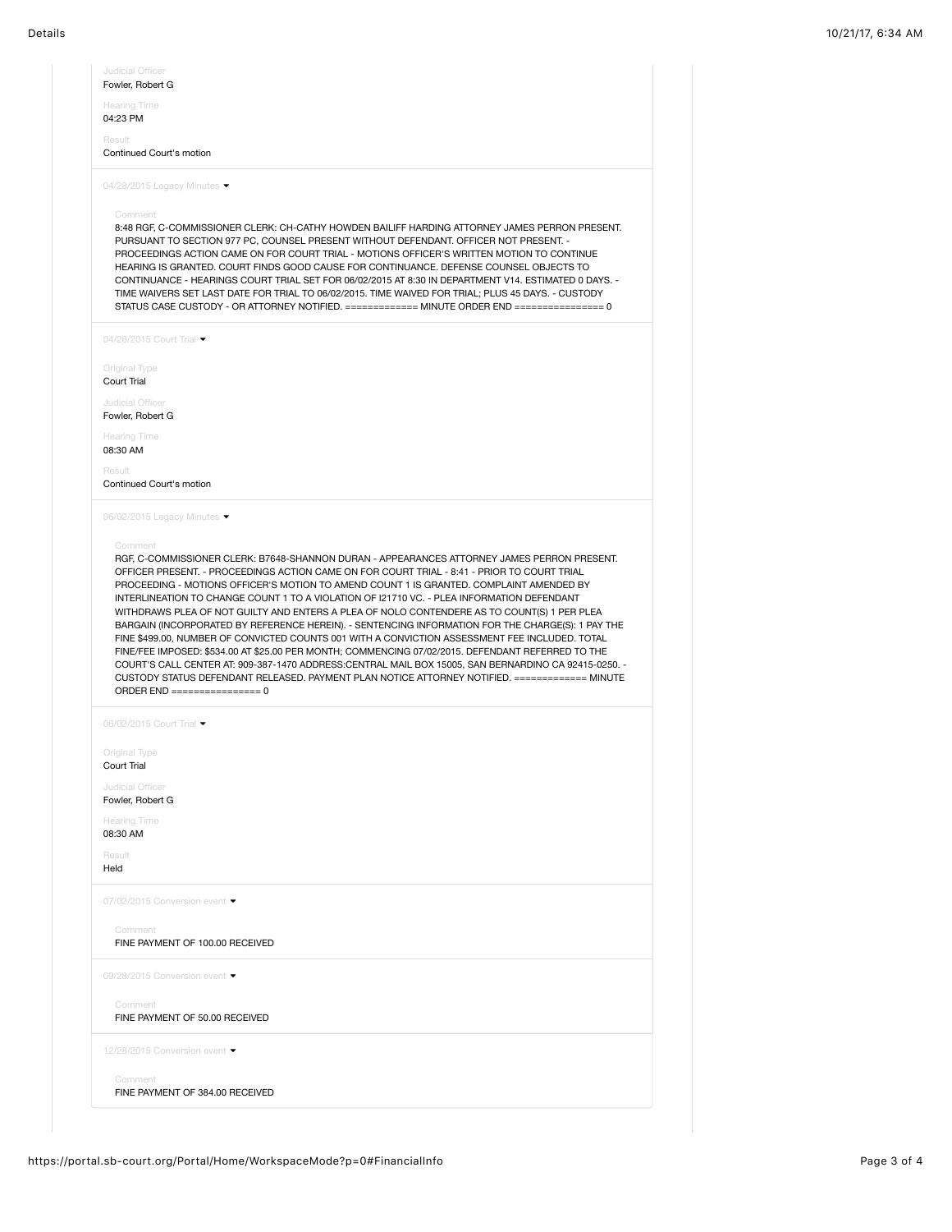| 04:23 PM                                                                                                                |                                                                                                                                                                                                                                                                                                                                                                                                                                                                                                                                                                                                                  |
|-------------------------------------------------------------------------------------------------------------------------|------------------------------------------------------------------------------------------------------------------------------------------------------------------------------------------------------------------------------------------------------------------------------------------------------------------------------------------------------------------------------------------------------------------------------------------------------------------------------------------------------------------------------------------------------------------------------------------------------------------|
| Result                                                                                                                  |                                                                                                                                                                                                                                                                                                                                                                                                                                                                                                                                                                                                                  |
| Continued Court's motion                                                                                                |                                                                                                                                                                                                                                                                                                                                                                                                                                                                                                                                                                                                                  |
|                                                                                                                         | 04/28/2015 Legacy Minutes                                                                                                                                                                                                                                                                                                                                                                                                                                                                                                                                                                                        |
|                                                                                                                         |                                                                                                                                                                                                                                                                                                                                                                                                                                                                                                                                                                                                                  |
| Comment                                                                                                                 |                                                                                                                                                                                                                                                                                                                                                                                                                                                                                                                                                                                                                  |
|                                                                                                                         | 8:48 RGF, C-COMMISSIONER CLERK: CH-CATHY HOWDEN BAILIFF HARDING ATTORNEY JAMES PERRON PRESENT.<br>PURSUANT TO SECTION 977 PC, COUNSEL PRESENT WITHOUT DEFENDANT. OFFICER NOT PRESENT. -                                                                                                                                                                                                                                                                                                                                                                                                                          |
|                                                                                                                         | PROCEEDINGS ACTION CAME ON FOR COURT TRIAL - MOTIONS OFFICER'S WRITTEN MOTION TO CONTINUE                                                                                                                                                                                                                                                                                                                                                                                                                                                                                                                        |
|                                                                                                                         | HEARING IS GRANTED. COURT FINDS GOOD CAUSE FOR CONTINUANCE. DEFENSE COUNSEL OBJECTS TO                                                                                                                                                                                                                                                                                                                                                                                                                                                                                                                           |
|                                                                                                                         | CONTINUANCE - HEARINGS COURT TRIAL SET FOR 06/02/2015 AT 8:30 IN DEPARTMENT V14. ESTIMATED 0 DAYS. -                                                                                                                                                                                                                                                                                                                                                                                                                                                                                                             |
|                                                                                                                         | TIME WAIVERS SET LAST DATE FOR TRIAL TO 06/02/2015. TIME WAIVED FOR TRIAL; PLUS 45 DAYS. - CUSTODY<br>STATUS CASE CUSTODY - OR ATTORNEY NOTIFIED. ============ MINUTE ORDER END =============== 0                                                                                                                                                                                                                                                                                                                                                                                                                |
|                                                                                                                         |                                                                                                                                                                                                                                                                                                                                                                                                                                                                                                                                                                                                                  |
| 04/28/2015 Court Trial •                                                                                                |                                                                                                                                                                                                                                                                                                                                                                                                                                                                                                                                                                                                                  |
| Original Type                                                                                                           |                                                                                                                                                                                                                                                                                                                                                                                                                                                                                                                                                                                                                  |
| Court Trial                                                                                                             |                                                                                                                                                                                                                                                                                                                                                                                                                                                                                                                                                                                                                  |
| Judicial Officer                                                                                                        |                                                                                                                                                                                                                                                                                                                                                                                                                                                                                                                                                                                                                  |
| Fowler, Robert G                                                                                                        |                                                                                                                                                                                                                                                                                                                                                                                                                                                                                                                                                                                                                  |
| <b>Hearing Time</b>                                                                                                     |                                                                                                                                                                                                                                                                                                                                                                                                                                                                                                                                                                                                                  |
| 08:30 AM                                                                                                                |                                                                                                                                                                                                                                                                                                                                                                                                                                                                                                                                                                                                                  |
| Result                                                                                                                  |                                                                                                                                                                                                                                                                                                                                                                                                                                                                                                                                                                                                                  |
| Continued Court's motion                                                                                                |                                                                                                                                                                                                                                                                                                                                                                                                                                                                                                                                                                                                                  |
|                                                                                                                         | 06/02/2015 Legacy Minutes ▼                                                                                                                                                                                                                                                                                                                                                                                                                                                                                                                                                                                      |
|                                                                                                                         |                                                                                                                                                                                                                                                                                                                                                                                                                                                                                                                                                                                                                  |
| Comment                                                                                                                 | RGF, C-COMMISSIONER CLERK: B7648-SHANNON DURAN - APPEARANCES ATTORNEY JAMES PERRON PRESENT.<br>OFFICER PRESENT. - PROCEEDINGS ACTION CAME ON FOR COURT TRIAL - 8:41 - PRIOR TO COURT TRIAL<br>PROCEEDING - MOTIONS OFFICER'S MOTION TO AMEND COUNT 1 IS GRANTED. COMPLAINT AMENDED BY<br>INTERLINEATION TO CHANGE COUNT 1 TO A VIOLATION OF 121710 VC. - PLEA INFORMATION DEFENDANT                                                                                                                                                                                                                              |
|                                                                                                                         | WITHDRAWS PLEA OF NOT GUILTY AND ENTERS A PLEA OF NOLO CONTENDERE AS TO COUNT(S) 1 PER PLEA<br>BARGAIN (INCORPORATED BY REFERENCE HEREIN). - SENTENCING INFORMATION FOR THE CHARGE(S): 1 PAY THE<br>FINE \$499.00, NUMBER OF CONVICTED COUNTS 001 WITH A CONVICTION ASSESSMENT FEE INCLUDED. TOTAL<br>FINE/FEE IMPOSED: \$534.00 AT \$25.00 PER MONTH; COMMENCING 07/02/2015. DEFENDANT REFERRED TO THE<br>COURT'S CALL CENTER AT: 909-387-1470 ADDRESS:CENTRAL MAIL BOX 15005, SAN BERNARDINO CA 92415-0250. -<br>CUSTODY STATUS DEFENDANT RELEASED. PAYMENT PLAN NOTICE ATTORNEY NOTIFIED. ============ MINUTE |
|                                                                                                                         |                                                                                                                                                                                                                                                                                                                                                                                                                                                                                                                                                                                                                  |
|                                                                                                                         |                                                                                                                                                                                                                                                                                                                                                                                                                                                                                                                                                                                                                  |
|                                                                                                                         |                                                                                                                                                                                                                                                                                                                                                                                                                                                                                                                                                                                                                  |
|                                                                                                                         |                                                                                                                                                                                                                                                                                                                                                                                                                                                                                                                                                                                                                  |
|                                                                                                                         |                                                                                                                                                                                                                                                                                                                                                                                                                                                                                                                                                                                                                  |
|                                                                                                                         |                                                                                                                                                                                                                                                                                                                                                                                                                                                                                                                                                                                                                  |
| 06/02/2015 Court Trial •<br>Original Type<br>Court Trial<br>Judicial Officer<br>Fowler, Robert G<br><b>Hearing Time</b> |                                                                                                                                                                                                                                                                                                                                                                                                                                                                                                                                                                                                                  |
|                                                                                                                         |                                                                                                                                                                                                                                                                                                                                                                                                                                                                                                                                                                                                                  |
|                                                                                                                         |                                                                                                                                                                                                                                                                                                                                                                                                                                                                                                                                                                                                                  |
|                                                                                                                         |                                                                                                                                                                                                                                                                                                                                                                                                                                                                                                                                                                                                                  |
|                                                                                                                         | 07/02/2015 Conversion event $\blacktriangleright$                                                                                                                                                                                                                                                                                                                                                                                                                                                                                                                                                                |
| 08:30 AM<br>Result<br>Held                                                                                              |                                                                                                                                                                                                                                                                                                                                                                                                                                                                                                                                                                                                                  |
| Comment                                                                                                                 |                                                                                                                                                                                                                                                                                                                                                                                                                                                                                                                                                                                                                  |
|                                                                                                                         | FINE PAYMENT OF 100.00 RECEIVED                                                                                                                                                                                                                                                                                                                                                                                                                                                                                                                                                                                  |
|                                                                                                                         | 09/28/2015 Conversion event ▼                                                                                                                                                                                                                                                                                                                                                                                                                                                                                                                                                                                    |
|                                                                                                                         |                                                                                                                                                                                                                                                                                                                                                                                                                                                                                                                                                                                                                  |
| Comment                                                                                                                 | FINE PAYMENT OF 50.00 RECEIVED                                                                                                                                                                                                                                                                                                                                                                                                                                                                                                                                                                                   |